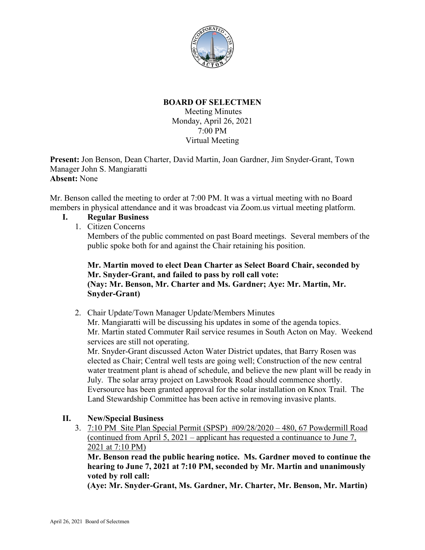

# **BOARD OF SELECTMEN**

Meeting Minutes Monday, April 26, 2021 7:00 PM Virtual Meeting

**Present:** Jon Benson, Dean Charter, David Martin, Joan Gardner, Jim Snyder-Grant, Town Manager John S. Mangiaratti **Absent:** None

Mr. Benson called the meeting to order at 7:00 PM. It was a virtual meeting with no Board members in physical attendance and it was broadcast via Zoom.us virtual meeting platform.

- **I. Regular Business**
	- 1. Citizen Concerns

Members of the public commented on past Board meetings. Several members of the public spoke both for and against the Chair retaining his position.

## **Mr. Martin moved to elect Dean Charter as Select Board Chair, seconded by Mr. Snyder-Grant, and failed to pass by roll call vote: (Nay: Mr. Benson, Mr. Charter and Ms. Gardner; Aye: Mr. Martin, Mr. Snyder-Grant)**

2. Chair Update/Town Manager Update/Members Minutes

Mr. Mangiaratti will be discussing his updates in some of the agenda topics. Mr. Martin stated Commuter Rail service resumes in South Acton on May. Weekend services are still not operating.

Mr. Snyder-Grant discussed Acton Water District updates, that Barry Rosen was elected as Chair; Central well tests are going well; Construction of the new central water treatment plant is ahead of schedule, and believe the new plant will be ready in July. The solar array project on Lawsbrook Road should commence shortly. Eversource has been granted approval for the solar installation on Knox Trail. The Land Stewardship Committee has been active in removing invasive plants.

- **II. New/Special Business**
	- 3. 7:10 PM Site Plan Special Permit (SPSP) #09/28/2020 480, 67 Powdermill Road (continued from April 5,  $2021$  – applicant has requested a continuance to June 7, 2021 at 7:10 PM)

**Mr. Benson read the public hearing notice. Ms. Gardner moved to continue the hearing to June 7, 2021 at 7:10 PM, seconded by Mr. Martin and unanimously voted by roll call:**

**(Aye: Mr. Snyder-Grant, Ms. Gardner, Mr. Charter, Mr. Benson, Mr. Martin)**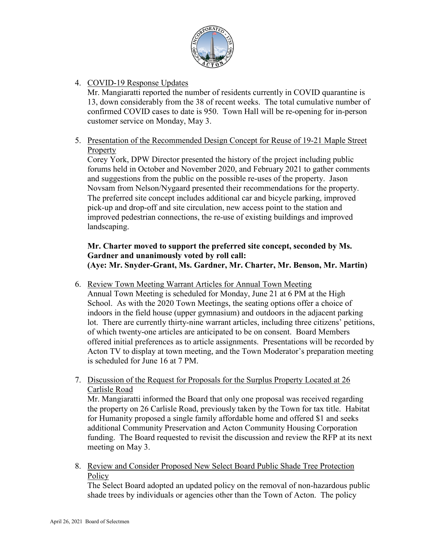

## 4. COVID-19 Response Updates

Mr. Mangiaratti reported the number of residents currently in COVID quarantine is 13, down considerably from the 38 of recent weeks. The total cumulative number of confirmed COVID cases to date is 950. Town Hall will be re-opening for in-person customer service on Monday, May 3.

5. Presentation of the Recommended Design Concept for Reuse of 19-21 Maple Street Property

Corey York, DPW Director presented the history of the project including public forums held in October and November 2020, and February 2021 to gather comments and suggestions from the public on the possible re-uses of the property. Jason Novsam from Nelson/Nygaard presented their recommendations for the property. The preferred site concept includes additional car and bicycle parking, improved pick-up and drop-off and site circulation, new access point to the station and improved pedestrian connections, the re-use of existing buildings and improved landscaping.

# **Mr. Charter moved to support the preferred site concept, seconded by Ms. Gardner and unanimously voted by roll call: (Aye: Mr. Snyder-Grant, Ms. Gardner, Mr. Charter, Mr. Benson, Mr. Martin)**

- 6. Review Town Meeting Warrant Articles for Annual Town Meeting Annual Town Meeting is scheduled for Monday, June 21 at 6 PM at the High School. As with the 2020 Town Meetings, the seating options offer a choice of indoors in the field house (upper gymnasium) and outdoors in the adjacent parking lot. There are currently thirty-nine warrant articles, including three citizens' petitions, of which twenty-one articles are anticipated to be on consent. Board Members offered initial preferences as to article assignments. Presentations will be recorded by Acton TV to display at town meeting, and the Town Moderator's preparation meeting is scheduled for June 16 at 7 PM.
- 7. Discussion of the Request for Proposals for the Surplus Property Located at 26 Carlisle Road

Mr. Mangiaratti informed the Board that only one proposal was received regarding the property on 26 Carlisle Road, previously taken by the Town for tax title. Habitat for Humanity proposed a single family affordable home and offered \$1 and seeks additional Community Preservation and Acton Community Housing Corporation funding. The Board requested to revisit the discussion and review the RFP at its next meeting on May 3.

8. Review and Consider Proposed New Select Board Public Shade Tree Protection Policy

The Select Board adopted an updated policy on the removal of non-hazardous public shade trees by individuals or agencies other than the Town of Acton. The policy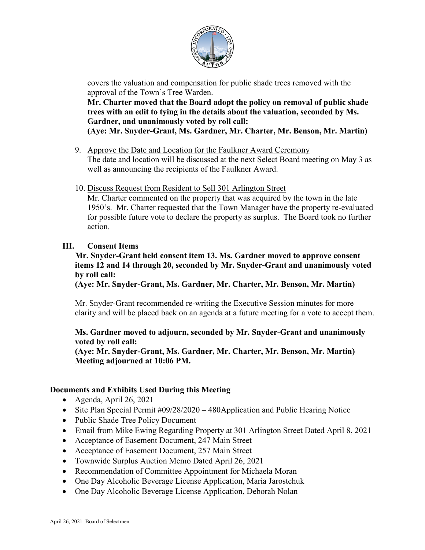

covers the valuation and compensation for public shade trees removed with the approval of the Town's Tree Warden.

**Mr. Charter moved that the Board adopt the policy on removal of public shade trees with an edit to tying in the details about the valuation, seconded by Ms. Gardner, and unanimously voted by roll call: (Aye: Mr. Snyder-Grant, Ms. Gardner, Mr. Charter, Mr. Benson, Mr. Martin)**

- 9. Approve the Date and Location for the Faulkner Award Ceremony The date and location will be discussed at the next Select Board meeting on May 3 as well as announcing the recipients of the Faulkner Award.
- 10. Discuss Request from Resident to Sell 301 Arlington Street

Mr. Charter commented on the property that was acquired by the town in the late 1950's. Mr. Charter requested that the Town Manager have the property re-evaluated for possible future vote to declare the property as surplus. The Board took no further action.

#### **III. Consent Items**

#### **Mr. Snyder-Grant held consent item 13. Ms. Gardner moved to approve consent items 12 and 14 through 20, seconded by Mr. Snyder-Grant and unanimously voted by roll call:**

**(Aye: Mr. Snyder-Grant, Ms. Gardner, Mr. Charter, Mr. Benson, Mr. Martin)**

Mr. Snyder-Grant recommended re-writing the Executive Session minutes for more clarity and will be placed back on an agenda at a future meeting for a vote to accept them.

## **Ms. Gardner moved to adjourn, seconded by Mr. Snyder-Grant and unanimously voted by roll call:**

**(Aye: Mr. Snyder-Grant, Ms. Gardner, Mr. Charter, Mr. Benson, Mr. Martin) Meeting adjourned at 10:06 PM.**

## **Documents and Exhibits Used During this Meeting**

- Agenda, April 26, 2021
- Site Plan Special Permit #09/28/2020 480 Application and Public Hearing Notice
- Public Shade Tree Policy Document
- Email from Mike Ewing Regarding Property at 301 Arlington Street Dated April 8, 2021
- Acceptance of Easement Document, 247 Main Street
- Acceptance of Easement Document, 257 Main Street
- Townwide Surplus Auction Memo Dated April 26, 2021
- Recommendation of Committee Appointment for Michaela Moran
- One Day Alcoholic Beverage License Application, Maria Jarostchuk
- One Day Alcoholic Beverage License Application, Deborah Nolan